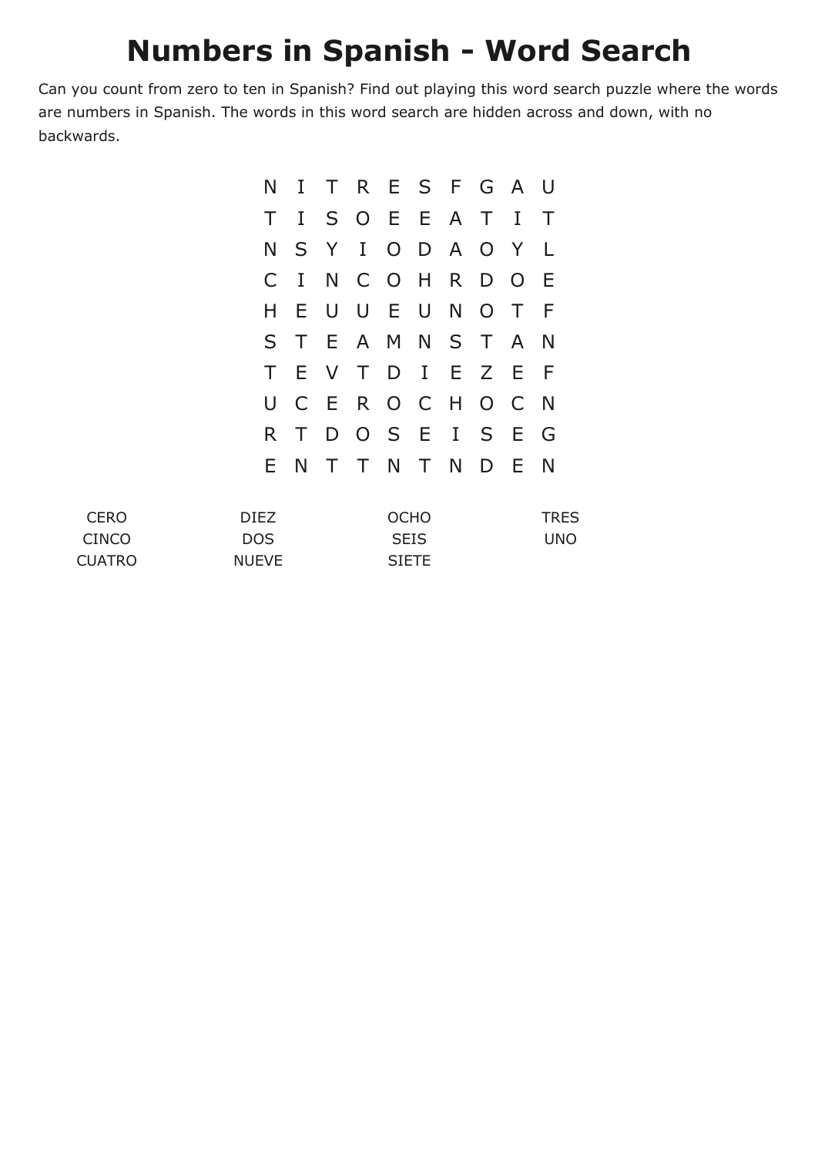## **Numbers in Spanish - Word Search**

Can you count from zero to ten in Spanish? Find out playing this word search puzzle where the words are numbers in Spanish. The words in this word search are hidden across and down, with no backwards.

|     |              | N I T R E S F G A U |  |               |   |          |     |
|-----|--------------|---------------------|--|---------------|---|----------|-----|
| T   |              | I S O E E A T       |  |               |   | $\bf{I}$ | Τ   |
| N   |              | S Y I O D A O Y     |  |               |   |          | L   |
| C   | $\mathbf{I}$ |                     |  | N C O H R D O |   |          | E   |
| Н   | Е.           | UUEUNOT             |  |               |   |          | F   |
| S T |              |                     |  | E A M N S T   |   | <b>A</b> | N   |
| T.  | E.           | V T D I E Z E       |  |               |   |          | - F |
|     |              | UCEROCHOC           |  |               |   |          | - N |
| R.  | T.           |                     |  | DOSEISE       |   |          | G   |
|     | E N          | T T N T N           |  |               | D | E        | N   |

| <b>CERO</b>   | DIFZ.        | <b>OCHO</b>  | <b>TRES</b> |
|---------------|--------------|--------------|-------------|
| CINCO         | DOS.         | <b>SEIS</b>  | <b>UNO</b>  |
| <b>CUATRO</b> | <b>NUEVE</b> | <b>SIETE</b> |             |